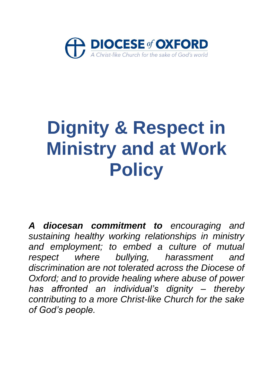

# **Dignity & Respect in Ministry and at Work Policy**

*A diocesan commitment to encouraging and sustaining healthy working relationships in ministry and employment; to embed a culture of mutual respect where bullying, harassment and discrimination are not tolerated across the Diocese of Oxford; and to provide healing where abuse of power has affronted an individual's dignity – thereby contributing to a more Christ-like Church for the sake of God's people.*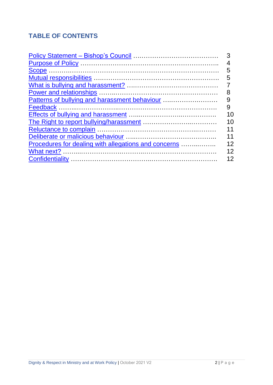# **TABLE OF CONTENTS**

<span id="page-1-0"></span>

|                                                      | 3  |
|------------------------------------------------------|----|
|                                                      |    |
|                                                      | 5  |
|                                                      | 5  |
|                                                      |    |
|                                                      | 8  |
| Patterns of bullying and harassment behaviour        | 9  |
|                                                      | 9  |
|                                                      | 10 |
|                                                      | 10 |
|                                                      | 11 |
|                                                      | 11 |
| Procedures for dealing with allegations and concerns | 12 |
|                                                      | 12 |
|                                                      | 12 |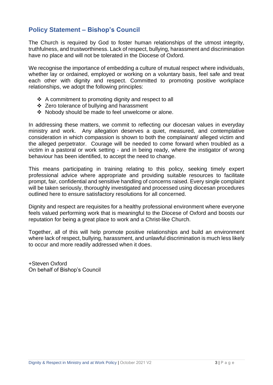# **Policy Statement – Bishop's Council**

The Church is required by God to foster human relationships of the utmost integrity, truthfulness, and trustworthiness. Lack of respect, bullying, harassment and discrimination have no place and will not be tolerated in the Diocese of Oxford.

We recognise the importance of embedding a culture of mutual respect where individuals. whether lay or ordained, employed or working on a voluntary basis, feel safe and treat each other with dignity and respect. Committed to promoting positive workplace relationships, we adopt the following principles:

- ❖ A commitment to promoting dignity and respect to all
- ❖ Zero tolerance of bullying and harassment
- ❖ Nobody should be made to feel unwelcome or alone.

In addressing these matters, we commit to reflecting our diocesan values in everyday ministry and work. Any allegation deserves a quiet, measured, and contemplative consideration in which compassion is shown to both the complainant/ alleged victim and the alleged perpetrator. Courage will be needed to come forward when troubled as a victim in a pastoral or work setting - and in being ready, where the instigator of wrong behaviour has been identified, to accept the need to change.

This means participating in training relating to this policy, seeking timely expert professional advice where appropriate and providing suitable resources to facilitate prompt, fair, confidential and sensitive handling of concerns raised. Every single complaint will be taken seriously, thoroughly investigated and processed using diocesan procedures outlined here to ensure satisfactory resolutions for all concerned.

Dignity and respect are requisites for a healthy professional environment where everyone feels valued performing work that is meaningful to the Diocese of Oxford and boosts our reputation for being a great place to work and a Christ-like Church.

Together, all of this will help promote positive relationships and build an environment where lack of respect, bullying, harassment, and unlawful discrimination is much less likely to occur and more readily addressed when it does.

+Steven Oxford On behalf of Bishop's Council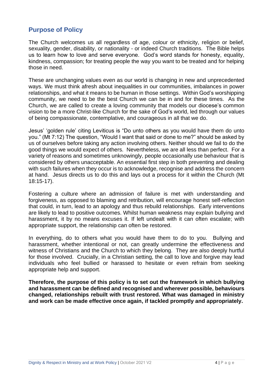# <span id="page-3-0"></span>**Purpose of Policy**

The Church welcomes us all regardless of age, colour or ethnicity, religion or belief, sexuality, gender, disability, or nationality - or indeed Church traditions. The Bible helps us to learn how to love and serve everyone. God's word stands for honesty, equality, kindness, compassion; for treating people the way you want to be treated and for helping those in need.

These are unchanging values even as our world is changing in new and unprecedented ways. We must think afresh about inequalities in our communities, imbalances in power relationships, and what it means to be human in those settings. Within God's worshipping community, we need to be the best Church we can be in and for these times. As the Church, we are called to create a loving community that models our diocese's common vision to be a more Christ-like Church for the sake of God's world, led through our values of being compassionate, contemplative, and courageous in all that we do.

Jesus' 'golden rule' citing Leviticus is "Do unto others as you would have them do unto you." (Mt 7:12) The question, "Would I want that said or done to me?" should be asked by us of ourselves before taking any action involving others. Neither should we fail to do the good things we would expect of others. Nevertheless, we are all less than perfect. For a variety of reasons and sometimes unknowingly, people occasionally use behaviour that is considered by others unacceptable. An essential first step in both preventing and dealing with such failures when they occur is to acknowledge, recognise and address the concern at hand. Jesus directs us to do this and lays out a process for it within the Church (Mt 18:15-17).

Fostering a culture where an admission of failure is met with understanding and forgiveness, as opposed to blaming and retribution, will encourage honest self-reflection that could, in turn, lead to an apology and thus rebuild relationships. Early interventions are likely to lead to positive outcomes. Whilst human weakness may explain bullying and harassment, it by no means excuses it. If left undealt with it can often escalate; with appropriate support, the relationship can often be restored.

In everything, do to others what you would have them to do to you. Bullying and harassment, whether intentional or not, can greatly undermine the effectiveness and witness of Christians and the Church to which they belong. They are also deeply hurtful for those involved. Crucially, in a Christian setting, the call to love and forgive may lead individuals who feel bullied or harassed to hesitate or even refrain from seeking appropriate help and support.

**Therefore, the purpose of this policy is to set out the framework in which bullying and harassment can be defined and recognised and wherever possible, behaviours changed, relationships rebuilt with trust restored. What was damaged in ministry and work can be made effective once again, if tackled promptly and appropriately.**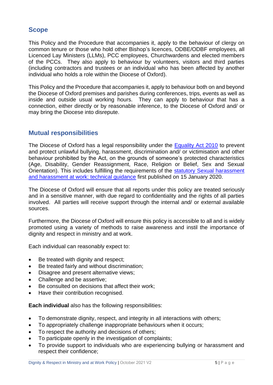#### <span id="page-4-0"></span>**Scope**

This Policy and the Procedure that accompanies it, apply to the behaviour of clergy on common tenure or those who hold other Bishop's licences, ODBE/ODBF employees, all Licenced Lay Ministers (LLMs), PCC employees, Churchwardens and elected members of the PCCs. They also apply to behaviour by volunteers, visitors and third parties (including contractors and trustees or an individual who has been affected by another individual who holds a role within the Diocese of Oxford).

This Policy and the Procedure that accompanies it, apply to behaviour both on and beyond the Diocese of Oxford premises and parishes during conferences, trips, events as well as inside and outside usual working hours. They can apply to behaviour that has a connection, either directly or by reasonable inference, to the Diocese of Oxford and/ or may bring the Diocese into disrepute.

#### <span id="page-4-1"></span>**Mutual responsibilities**

The Diocese of Oxford has a legal responsibility under the [Equality Act 2010](https://www.gov.uk/guidance/equality-act-2010-guidance) to prevent and protect unlawful bullying, harassment, discrimination and/ or victimisation and other behaviour prohibited by the Act, on the grounds of someone's protected characteristics (Age, Disability, Gender Reassignment, Race, Religion or Belief, Sex and Sexual Orientation). This includes fulfilling the requirements of the [statutory Sexual harassment](https://www.equalityhumanrights.com/sites/default/files/sexual_harassment_and_harassment_at_work.pdf)  [and harassment at work: technical guidance](https://www.equalityhumanrights.com/sites/default/files/sexual_harassment_and_harassment_at_work.pdf) first published on 15 January 2020.

The Diocese of Oxford will ensure that all reports under this policy are treated seriously and in a sensitive manner, with due regard to confidentiality and the rights of all parties involved. All parties will receive support through the internal and/ or external available sources.

Furthermore, the Diocese of Oxford will ensure this policy is accessible to all and is widely promoted using a variety of methods to raise awareness and instil the importance of dignity and respect in ministry and at work.

Each individual can reasonably expect to:

- Be treated with dignity and respect;
- Be treated fairly and without discrimination;
- Disagree and present alternative views;
- Challenge and be assertive;
- Be consulted on decisions that affect their work;
- Have their contribution recognised.

**Each individual** also has the following responsibilities:

- To demonstrate dignity, respect, and integrity in all interactions with others;
- To appropriately challenge inappropriate behaviours when it occurs;
- To respect the authority and decisions of others;
- To participate openly in the investigation of complaints;
- To provide support to individuals who are experiencing bullying or harassment and respect their confidence;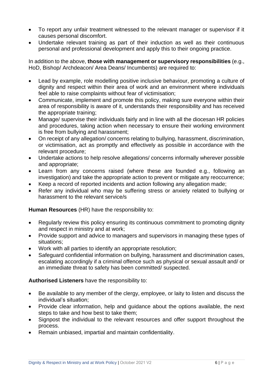- To report any unfair treatment witnessed to the relevant manager or supervisor if it causes personal discomfort.
- Undertake relevant training as part of their induction as well as their continuous personal and professional development and apply this to their ongoing practice.

In addition to the above, **those with management or supervisory responsibilities** (e.g., HoD, Bishop/ Archdeacon/ Area Deans/ Incumbents) are required to:

- Lead by example, role modelling positive inclusive behaviour, promoting a culture of dignity and respect within their area of work and an environment where individuals feel able to raise complaints without fear of victimisation;
- Communicate, implement and promote this policy, making sure everyone within their area of responsibility is aware of it, understands their responsibility and has received the appropriate training;
- Manage/ supervise their individuals fairly and in line with all the diocesan HR policies and procedures, taking action when necessary to ensure their working environment is free from bullying and harassment;
- On receipt of any allegation/ concerns relating to bullying, harassment, discrimination, or victimisation, act as promptly and effectively as possible in accordance with the relevant procedure;
- Undertake actions to help resolve allegations/ concerns informally wherever possible and appropriate;
- Learn from any concerns raised (where these are founded e.g., following an investigation) and take the appropriate action to prevent or mitigate any reoccurrence;
- Keep a record of reported incidents and action following any allegation made;
- Refer any individual who may be suffering stress or anxiety related to bullying or harassment to the relevant service/s

**Human Resources** (HR) have the responsibility to:

- Regularly review this policy ensuring its continuous commitment to promoting dignity and respect in ministry and at work;
- Provide support and advice to managers and supervisors in managing these types of situations;
- Work with all parties to identify an appropriate resolution;
- Safeguard confidential information on bullying, harassment and discrimination cases, escalating accordingly if a criminal offence such as physical or sexual assault and/ or an immediate threat to safety has been committed/ suspected.

#### **Authorised Listeners** have the responsibility to:

- Be available to any member of the clergy, employee, or laity to listen and discuss the individual's situation;
- Provide clear information, help and guidance about the options available, the next steps to take and how best to take them;
- Signpost the individual to the relevant resources and offer support throughout the process.
- <span id="page-5-0"></span>• Remain unbiased, impartial and maintain confidentiality.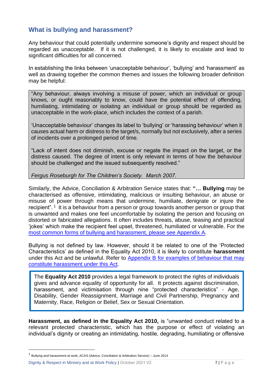# **What is bullying and harassment?**

Any behaviour that could potentially undermine someone's dignity and respect should be regarded as unacceptable. If it is not challenged, it is likely to escalate and lead to significant difficulties for all concerned.

In establishing the links between 'unacceptable behaviour', 'bullying' and 'harassment' as well as drawing together the common themes and issues the following broader definition may be helpful:

"Any behaviour, always involving a misuse of power, which an individual or group knows, or ought reasonably to know, could have the potential effect of offending, humiliating, intimidating or isolating an individual or group should be regarded as unacceptable in the work-place, which includes the context of a parish.

'Unacceptable behaviour' changes its label to 'bullying' or 'harassing behaviour' when it causes actual harm or distress to the target/s, normally but not exclusively, after a series of incidents over a prolonged period of time.

"Lack of intent does not diminish, excuse or negate the impact on the target, or the distress caused. The degree of intent is only relevant in terms of how the behaviour should be challenged and the issued subsequently resolved."

*Fergus Roseburgh for The Children's Society. March 2007.*

Similarly, the Advice, Conciliation & Arbitration Service states that: **"… Bullying** may be characterised as offensive, intimidating, malicious or insulting behaviour, an abuse or misuse of power through means that undermine, humiliate, denigrate or injure the recipient".<sup>1</sup> It is a behaviour from a person or group towards another person or group that is unwanted and makes one feel uncomfortable by isolating the person and focusing on distorted or fabricated allegations. It often includes threats, abuse, teasing and practical 'jokes' which make the recipient feel upset, threatened, humiliated or vulnerable. For the most common forms [of bullying and harassment, please see Appendix A.](https://d3hgrlq6yacptf.cloudfront.net/61f2fd86f0ee5/content/pages/documents/appendix-a-examples-of-bullying-harrassment-or-sexual-harassment-behaviour.pdf)

Bullying is not defined by law. However, should it be related to one of the 'Protected Characteristics' as defined in the Equality Act 2010, it is likely to constitute **harassment** under this Act and be unlawful. Refer to Appendix B [for examples of behaviour that may](https://d3hgrlq6yacptf.cloudfront.net/61f2fd86f0ee5/content/pages/documents/appendix-b-examples-of-behaviour-that-may-constitute-harassment-under-the-equality-act-2010.pdf)  [constitute harassment under this Act.](https://d3hgrlq6yacptf.cloudfront.net/61f2fd86f0ee5/content/pages/documents/appendix-b-examples-of-behaviour-that-may-constitute-harassment-under-the-equality-act-2010.pdf)

The **Equality Act 2010** provides a legal framework to protect the rights of individuals gives and advance equality of opportunity for all. It protects against discrimination, harassment, and victimisation through nine "protected characteristics" - Age, Disability, Gender Reassignment, Marriage and Civil Partnership, Pregnancy and Maternity, Race, Religion or Belief, Sex or Sexual Orientation.

**Harassment, as defined in the Equality Act 2010,** is "unwanted conduct related to a relevant protected characteristic, which has the purpose or effect of violating an individual's dignity or creating an intimidating, hostile, degrading, humiliating or offensive

Dignity & Respect in Ministry and at Work Policy | October 2021 V2 7 | P a g e

<sup>&</sup>lt;sup>1</sup> Bullying and harassment at work, ACAS (Advice, Conciliation & Arbitration Service) – June 2014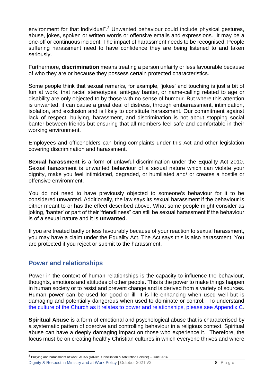environment for that individual".<sup>2</sup> Unwanted behaviour could include physical gestures, abuse, jokes, spoken or written words or offensive emails and expressions. It may be a one-off or continuous incident. The impact of harassment needs to be recognised. People suffering harassment need to have confidence they are being listened to and taken seriously.

Furthermore, **discrimination** means treating a person unfairly or less favourable because of who they are or because they possess certain protected characteristics.

Some people think that sexual remarks, for example, 'jokes' and touching is just a bit of fun at work, that racial stereotypes, anti-gay banter, or name-calling related to age or disability are only objected to by those with no sense of humour. But where this attention is unwanted, it can cause a great deal of distress, through embarrassment, intimidation, isolation, and exclusion and is likely to constitute harassment. Our commitment against lack of respect, bullying, harassment, and discrimination is not about stopping social banter between friends but ensuring that all members feel safe and comfortable in their working environment.

Employees and officeholders can bring complaints under this Act and other legislation covering discrimination and harassment.

**Sexual harassment** is a form of unlawful discrimination under the Equality Act 2010. Sexual harassment is unwanted behaviour of a sexual nature which can violate your dignity, make you feel intimidated, degraded, or humiliated and/ or creates a hostile or offensive environment.

You do not need to have previously objected to someone's behaviour for it to be considered unwanted. Additionally, the law says its sexual harassment if the behaviour is either meant to or has the effect described above. What some people might consider as joking, 'banter' or part of their 'friendliness" can still be sexual harassment if the behaviour is of a sexual nature and it is **unwanted**.

If you are treated badly or less favourably because of your reaction to sexual harassment, you may have a claim under the Equality Act. The Act says this is also harassment. You are protected if you reject or submit to the harassment.

#### <span id="page-7-0"></span>**Power and relationships**

Power in the context of human relationships is the capacity to influence the behaviour, thoughts, emotions and attitudes of other people. This is the power to make things happen in human society or to resist and prevent change and is derived from a variety of sources. Human power can be used for good or ill. It is life-enhancing when used well but is damaging and potentially dangerous when used to dominate or control. To understand [the culture of the Church as it relates to power and relationships, please see Appendix C.](https://d3hgrlq6yacptf.cloudfront.net/61f2fd86f0ee5/content/pages/documents/appendix-c-power-and-authority-in-the-church-.pdf)

**Spiritual Abuse** is a form of emotional and psychological abuse that is characterised by a systematic pattern of coercive and controlling behaviour in a religious context. Spiritual abuse can have a deeply damaging impact on those who experience it. Therefore, the focus must be on creating healthy Christian cultures in which everyone thrives and where

Dignity & Respect in Ministry and at Work Policy | October 2021 V2 8 | P a g e

<sup>2</sup> Bullying and harassment at work, ACAS (Advice, Conciliation & Arbitration Service) – June 2014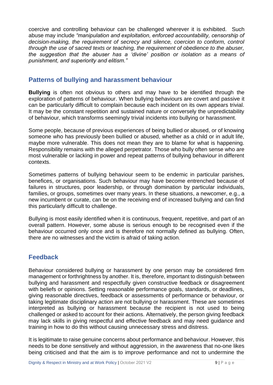coercive and controlling behaviour can be challenged wherever it is exhibited. Such abuse may include *"manipulation and exploitation, enforced accountability, censorship of decision-making, the requirement of secrecy and silence, coercion to conform, control through the use of sacred texts or teaching, the requirement of obedience to the abuser, the suggestion that the abuser has a 'divine' position or isolation as a means of punishment, and superiority and elitism."*

#### <span id="page-8-0"></span>**Patterns of bullying and harassment behaviour**

**Bullying** is often not obvious to others and may have to be identified through the exploration of patterns of behaviour. When bullying behaviours are covert and passive it can be particularly difficult to complain because each incident on its own appears trivial. It may be the constant repetition and sustained nature or conversely the unpredictability of behaviour, which transforms seemingly trivial incidents into bullying or harassment.

Some people, because of previous experiences of being bullied or abused, or of knowing someone who has previously been bullied or abused, whether as a child or in adult life, maybe more vulnerable. This does not mean they are to blame for what is happening. Responsibility remains with the alleged perpetrator. Those who bully often sense who are most vulnerable or lacking in power and repeat patterns of bullying behaviour in different contexts.

Sometimes patterns of bullying behaviour seem to be endemic in particular parishes, benefices, or organisations. Such behaviour may have become entrenched because of failures in structures, poor leadership, or through domination by particular individuals, families, or groups, sometimes over many years. In these situations, a newcomer, e.g., a new incumbent or curate, can be on the receiving end of increased bullying and can find this particularly difficult to challenge.

Bullying is most easily identified when it is continuous, frequent, repetitive, and part of an overall pattern. However, some abuse is serious enough to be recognised even if the behaviour occurred only once and is therefore not normally defined as bullying. Often, there are no witnesses and the victim is afraid of taking action.

# <span id="page-8-1"></span>**Feedback**

Behaviour considered bullying or harassment by one person may be considered firm management or forthrightness by another. It is, therefore, important to distinguish between bullying and harassment and respectfully given constructive feedback or disagreement with beliefs or opinions. Setting reasonable performance goals, standards, or deadlines, giving reasonable directives, feedback or assessments of performance or behaviour, or taking legitimate disciplinary action are not bullying or harassment. These are sometimes interpreted as bullying or harassment because the recipient is not used to being challenged or asked to account for their actions. Alternatively, the person giving feedback may lack skills in giving respectful and effective feedback and may need guidance and training in how to do this without causing unnecessary stress and distress.

It is legitimate to raise genuine concerns about performance and behaviour. However, this needs to be done sensitively and without aggression, in the awareness that no-one likes being criticised and that the aim is to improve performance and not to undermine the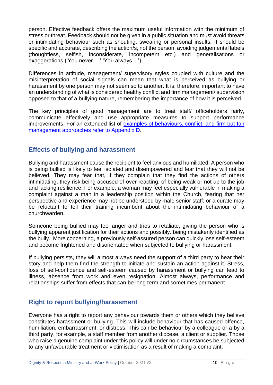person. Effective feedback offers the maximum useful information with the minimum of stress or threat. Feedback should not be given in a public situation and must avoid threats or intimidating behaviour such as shouting, swearing or personal insults. It should be specific and accurate, describing the action/s, not the person, avoiding judgemental labels (thoughtless, selfish, inconsiderate, incompetent etc.) and generalisations or exaggerations ('You never …' 'You always ...').

Differences in attitude, management/ supervisory styles coupled with culture and the misinterpretation of social signals can mean that what is perceived as bullying or harassment by one person may not seem so to another. It is, therefore, important to have an understanding of what is considered healthy conflict and firm management/ supervision opposed to that of a bullying nature, remembering the importance of how it is perceived.

The key principles of good management are to treat staff/ officeholders fairly, communicate effectively and use appropriate measures to support performance improvements. For an extended list of [examples of behaviours, conflict, and firm but fair](https://d3hgrlq6yacptf.cloudfront.net/61f2fd86f0ee5/content/pages/documents/appendix-d-examples-of-acceptable-and-unacceptable-behaviours-healthy-vs-unhealthy-conflict-and-firm-but-fair-management-approaches.pdf)  [management approaches refer to Appendix D.](https://d3hgrlq6yacptf.cloudfront.net/61f2fd86f0ee5/content/pages/documents/appendix-d-examples-of-acceptable-and-unacceptable-behaviours-healthy-vs-unhealthy-conflict-and-firm-but-fair-management-approaches.pdf)

### <span id="page-9-0"></span>**Effects of bullying and harassment**

Bullying and harassment cause the recipient to feel anxious and humiliated. A person who is being bullied is likely to feel isolated and disempowered and fear that they will not be believed. They may fear that, if they complain that they find the actions of others intimidating, they risk being accused of over-reacting, of being weak or not up to the job and lacking resilience. For example, a woman may feel especially vulnerable in making a complaint against a man in a leadership position within the Church, fearing that her perspective and experience may not be understood by male senior staff; or a curate may be reluctant to tell their training incumbent about the intimidating behaviour of a churchwarden.

Someone being bullied may feel anger and tries to retaliate, giving the person who is bullying apparent justification for their actions and possibly. being mistakenly identified as the bully. More concerning, a previously self-assured person can quickly lose self-esteem and become frightened and disorientated when subjected to bullying or harassment.

If bullying persists, they will almost always need the support of a third party to hear their story and help them find the strength to initiate and sustain an action against it. Stress, loss of self-confidence and self-esteem caused by harassment or bullying can lead to illness, absence from work and even resignation. Almost always, performance and relationships suffer from effects that can be long term and sometimes permanent.

#### <span id="page-9-1"></span>**Right to report bullying/harassment**

Everyone has a right to report any behaviour towards them or others which they believe constitutes harassment or bullying. This will include behaviour that has caused offence, humiliation, embarrassment, or distress. This can be behaviour by a colleague or a by a third party, for example, a staff member from another diocese, a client or supplier. Those who raise a genuine complaint under this policy will under no circumstances be subjected to any unfavourable treatment or victimisation as a result of making a complaint.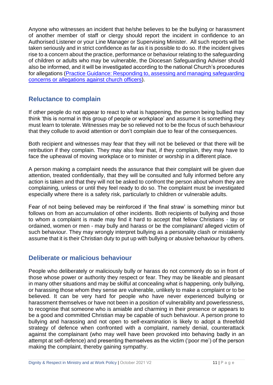Anyone who witnesses an incident that he/she believes to be the bullying or harassment of another member of staff or clergy should report the incident in confidence to an Authorised Listener or your Line Manager or Supervising Minister. All such reports will be taken seriously and in strict confidence as far as it is possible to do so. If the incident gives rise to a concern about the practice, performance or behaviour relating to the safeguarding of children or adults who may be vulnerable, the Diocesan Safeguarding Adviser should also be informed, and it will be investigated according to the national Church's procedures for allegations [\(Practice Guidance: Responding to, assessing and managing](https://www.churchofengland.org/sites/default/files/2017-12/Responding%20PG%20V2.pdf) safeguarding [concerns or allegations against church officers\)](https://www.churchofengland.org/sites/default/files/2017-12/Responding%20PG%20V2.pdf).

#### <span id="page-10-0"></span>**Reluctance to complain**

If other people do not appear to react to what is happening, the person being bullied may think 'this is normal in this group of people or workplace' and assume it is something they must learn to tolerate. Witnesses may be so relieved not to be the focus of such behaviour that they collude to avoid attention or don't complain due to fear of the consequences.

Both recipient and witnesses may fear that they will not be believed or that there will be retribution if they complain. They may also fear that, if they complain, they may have to face the upheaval of moving workplace or to minister or worship in a different place.

A person making a complaint needs the assurance that their complaint will be given due attention, treated confidentially, that they will be consulted and fully informed before any action is taken and that they will not be asked to confront the person about whom they are complaining, unless or until they feel ready to do so. The complaint must be investigated especially where there is a safety risk, particularly to children or vulnerable adults.

Fear of not being believed may be reinforced if 'the final straw' is something minor but follows on from an accumulation of other incidents. Both recipients of bullying and those to whom a complaint is made may find it hard to accept that fellow Christians - lay or ordained, women or men - may bully and harass or be the complainant/ alleged victim of such behaviour. They may wrongly interpret bullying as a personality clash or mistakenly assume that it is their Christian duty to put up with bullying or abusive behaviour by others.

#### <span id="page-10-1"></span>**Deliberate or malicious behaviour**

People who deliberately or maliciously bully or harass do not commonly do so in front of those whose power or authority they respect or fear. They may be likeable and pleasant in many other situations and may be skilful at concealing what is happening, only bullying, or harassing those whom they sense are vulnerable, unlikely to make a complaint or to be believed. It can be very hard for people who have never experienced bullying or harassment themselves or have not been in a position of vulnerability and powerlessness, to recognise that someone who is amiable and charming in their presence or appears to be a good and committed Christian may be capable of such behaviour. A person prone to bullying and harassing and not open to self-examination is likely to adopt a threefold strategy of defence when confronted with a complaint, namely denial, counterattack against the complainant (who may well have been provoked into behaving badly in an attempt at self-defence) and presenting themselves as the victim ('poor me') of the person making the complaint, thereby gaining sympathy.